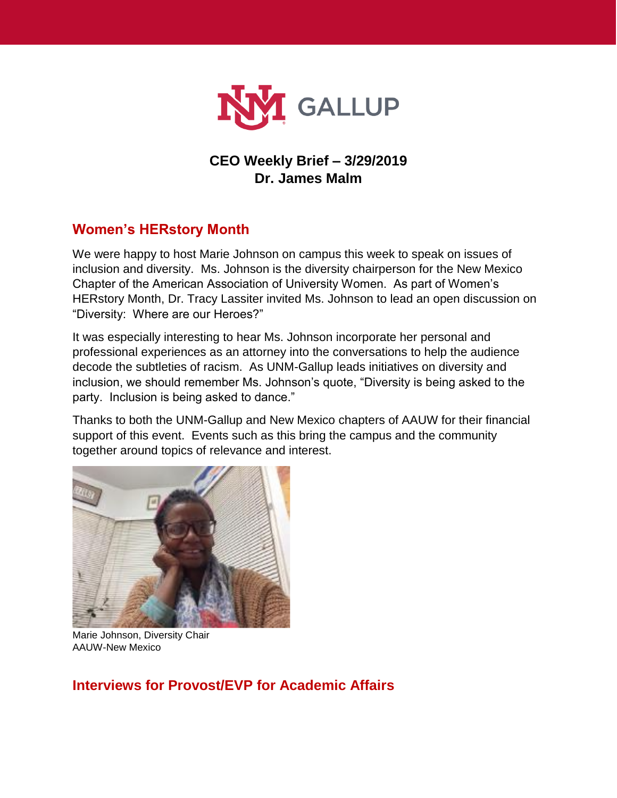

## **CEO Weekly Brief – 3/29/2019 Dr. James Malm**

# **Women's HERstory Month**

We were happy to host Marie Johnson on campus this week to speak on issues of inclusion and diversity. Ms. Johnson is the diversity chairperson for the New Mexico Chapter of the American Association of University Women. As part of Women's HERstory Month, Dr. Tracy Lassiter invited Ms. Johnson to lead an open discussion on "Diversity: Where are our Heroes?"

It was especially interesting to hear Ms. Johnson incorporate her personal and professional experiences as an attorney into the conversations to help the audience decode the subtleties of racism. As UNM-Gallup leads initiatives on diversity and inclusion, we should remember Ms. Johnson's quote, "Diversity is being asked to the party. Inclusion is being asked to dance."

Thanks to both the UNM-Gallup and New Mexico chapters of AAUW for their financial support of this event. Events such as this bring the campus and the community together around topics of relevance and interest.



Marie Johnson, Diversity Chair AAUW-New Mexico

## **Interviews for Provost/EVP for Academic Affairs**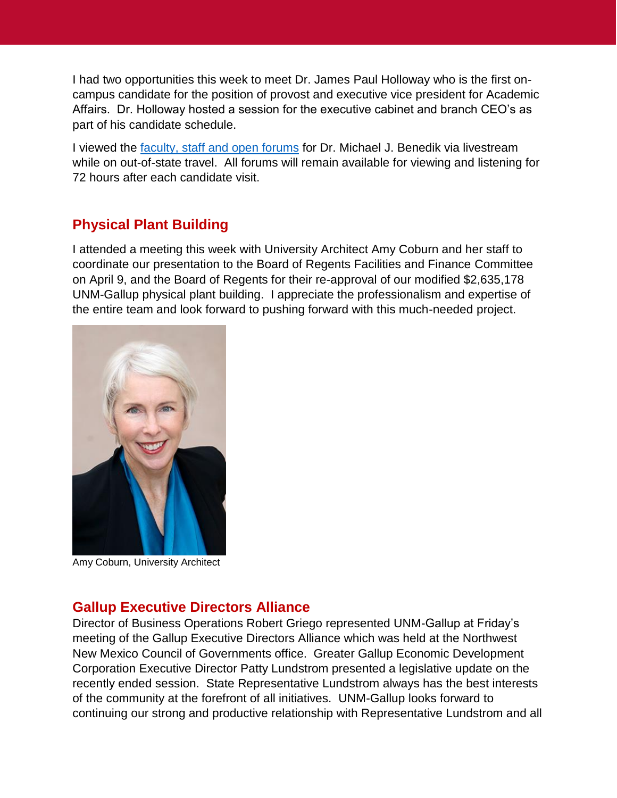I had two opportunities this week to meet Dr. James Paul Holloway who is the first oncampus candidate for the position of provost and executive vice president for Academic Affairs. Dr. Holloway hosted a session for the executive cabinet and branch CEO's as part of his candidate schedule.

I viewed the [faculty, staff and open forums](https://executivesearch.unm.edu/provost-and-evp-for-academic-affairs/on-campus-candidate-interviews.html) for Dr. Michael J. Benedik via livestream while on out-of-state travel. All forums will remain available for viewing and listening for 72 hours after each candidate visit.

## **Physical Plant Building**

I attended a meeting this week with University Architect Amy Coburn and her staff to coordinate our presentation to the Board of Regents Facilities and Finance Committee on April 9, and the Board of Regents for their re-approval of our modified \$2,635,178 UNM-Gallup physical plant building. I appreciate the professionalism and expertise of the entire team and look forward to pushing forward with this much-needed project.



Amy Coburn, University Architect

### **Gallup Executive Directors Alliance**

Director of Business Operations Robert Griego represented UNM-Gallup at Friday's meeting of the Gallup Executive Directors Alliance which was held at the Northwest New Mexico Council of Governments office. Greater Gallup Economic Development Corporation Executive Director Patty Lundstrom presented a legislative update on the recently ended session. State Representative Lundstrom always has the best interests of the community at the forefront of all initiatives. UNM-Gallup looks forward to continuing our strong and productive relationship with Representative Lundstrom and all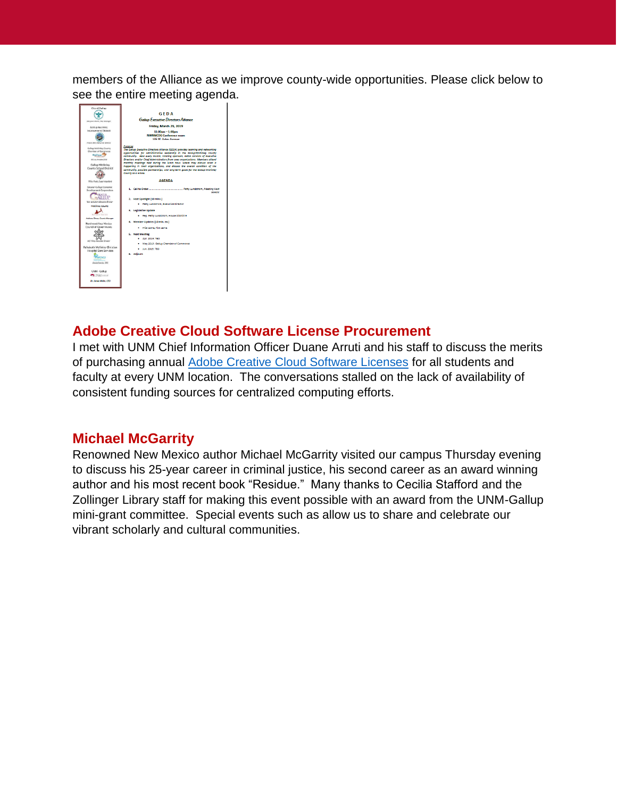members of the Alliance as we improve county-wide opportunities. Please click below to see the entire meeting agenda.



### **Adobe Creative Cloud Software License Procurement**

I met with UNM Chief Information Officer Duane Arruti and his staff to discuss the merits of purchasing annual [Adobe Creative Cloud Software Licenses](https://www.adobe.com/creativecloud.html) for all students and faculty at every UNM location. The conversations stalled on the lack of availability of consistent funding sources for centralized computing efforts.

### **Michael McGarrity**

Renowned New Mexico author Michael McGarrity visited our campus Thursday evening to discuss his 25-year career in criminal justice, his second career as an award winning author and his most recent book "Residue." Many thanks to Cecilia Stafford and the Zollinger Library staff for making this event possible with an award from the UNM-Gallup mini-grant committee. Special events such as allow us to share and celebrate our vibrant scholarly and cultural communities.